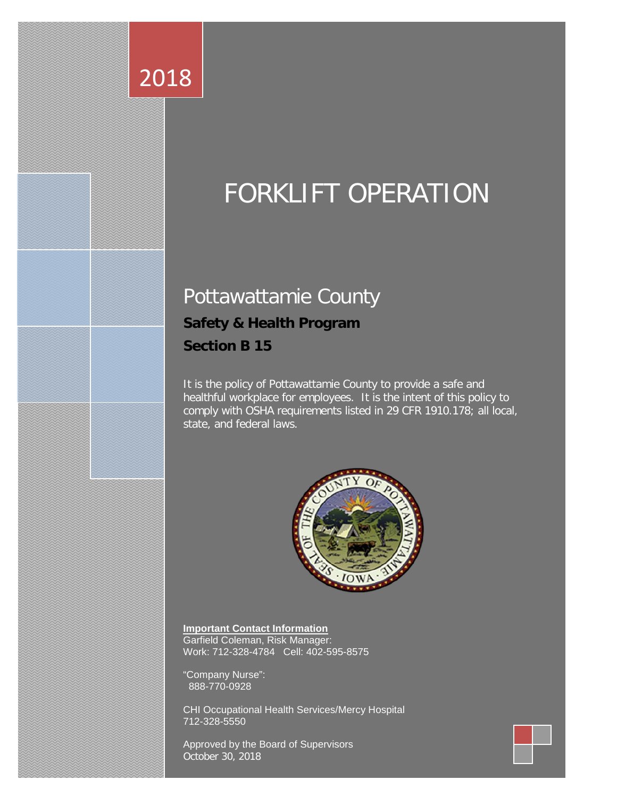# FORKLIFT OPERATION

## Pottawattamie County

## **Safety & Health Program**

**Section B 15**

2018

It is the policy of Pottawattamie County to provide a safe and healthful workplace for employees. It is the intent of this policy to comply with OSHA requirements listed in 29 CFR 1910.178; all local, state, and federal laws.



**Important Contact Information** Garfield Coleman, Risk Manager: Work: 712-328-4784 Cell: 402-595-8575

"Company Nurse": 888-770-0928

CHI Occupational Health Services/Mercy Hospital 712-328-5550

Approved by the Board of Supervisors October 30, 2018

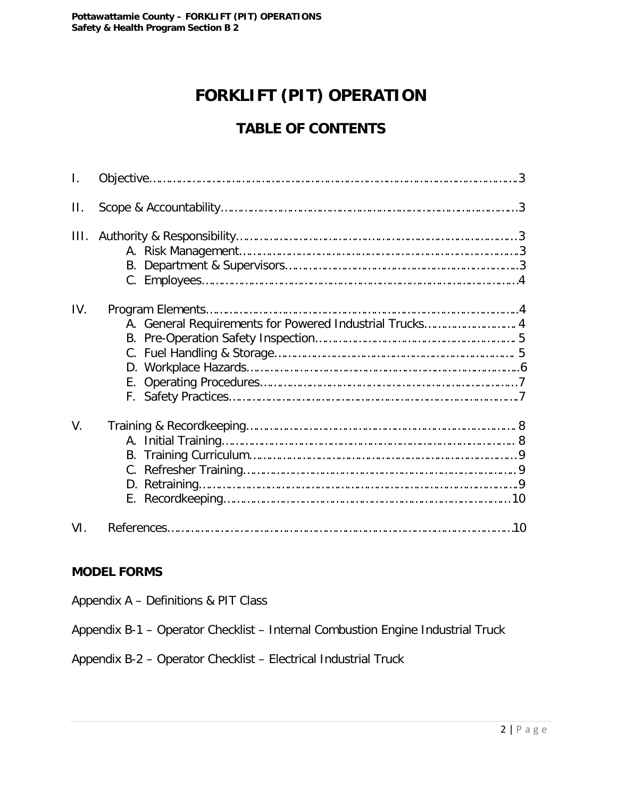## **FORKLIFT (PIT) OPERATION**

## **TABLE OF CONTENTS**

| Τ.   |                                                         |  |
|------|---------------------------------------------------------|--|
| П.   |                                                         |  |
| III. |                                                         |  |
| IV.  | A. General Requirements for Powered Industrial Trucks 4 |  |
| V.   |                                                         |  |
| VI.  |                                                         |  |

#### **MODEL FORMS**

Appendix A – Definitions & PIT Class

Appendix B-1 – Operator Checklist – Internal Combustion Engine Industrial Truck

Appendix B-2 – Operator Checklist – Electrical Industrial Truck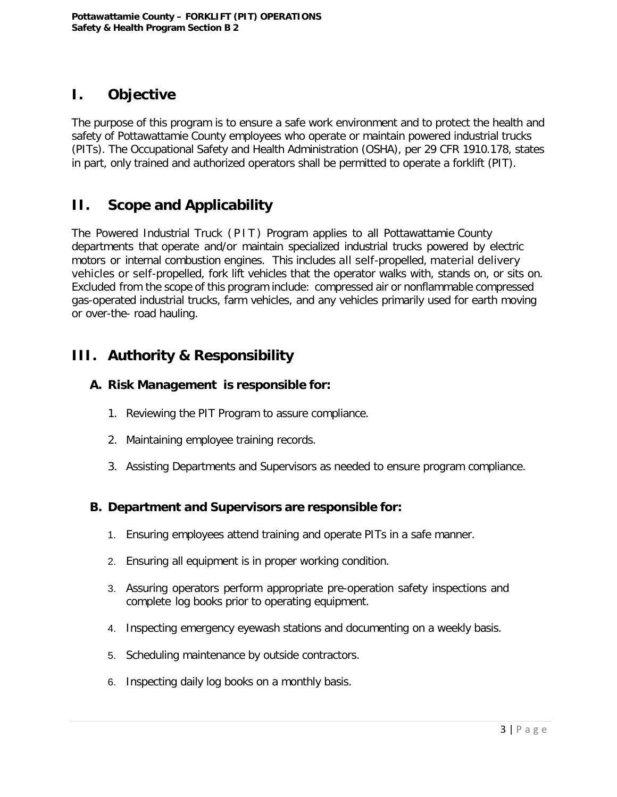## **I. Objective**

The purpose of this program is to ensure a safe work environment and to protect the health and safety of Pottawattamie County employees who operate or maintain powered industrial trucks (PITs). The Occupational Safety and Health Administration (OSHA), per 29 CFR 1910.178, states in part, only trained and authorized operators shall be permitted to operate a forklift (PIT).

## **II. Scope and Applicability**

The Powered Industrial Truck (PIT) Program applies to all Pottawattamie County departments that operate and/or maintain specialized industrial trucks powered by electric motors or internal combustion engines. This includes all self-propelled, material delivery vehicles or self-propelled, fork lift vehicles that the operator walks with, stands on, or sits on. Excluded from the scope of this program include: compressed air or nonflammable compressed gas-operated industrial trucks, farm vehicles, and any vehicles primarily used for earth moving or over-the- road hauling.

## **III. Authority & Responsibility**

#### **A. Risk Management is responsible for:**

- 1. Reviewing the PIT Program to assure compliance.
- 2. Maintaining employee training records.
- 3. Assisting Departments and Supervisors as needed to ensure program compliance.

#### **B. Department and Supervisors are responsible for:**

- 1. Ensuring employees attend training and operate PITs in a safe manner.
- 2. Ensuring all equipment is in proper working condition.
- 3. Assuring operators perform appropriate pre-operation safety inspections and complete log books prior to operating equipment.
- 4. Inspecting emergency eyewash stations and documenting on a weekly basis.
- 5. Scheduling maintenance by outside contractors.
- 6. Inspecting daily log books on a monthly basis.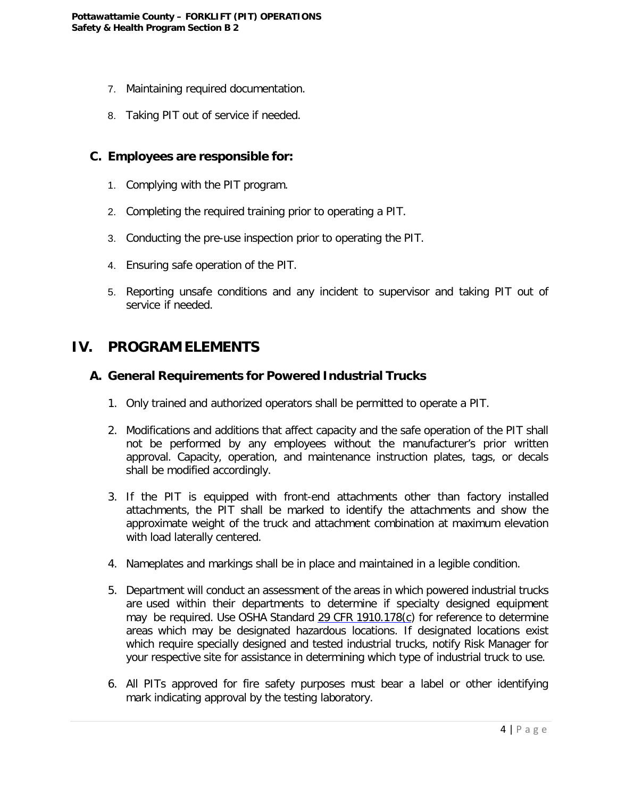- 7. Maintaining required documentation.
- 8. Taking PIT out of service if needed.

#### **C. Employees are responsible for:**

- 1. Complying with the PIT program.
- 2. Completing the required training prior to operating a PIT.
- 3. Conducting the pre-use inspection prior to operating the PIT.
- 4. Ensuring safe operation of the PIT.
- 5. Reporting unsafe conditions and any incident to supervisor and taking PIT out of service if needed.

#### **IV. PROGRAM ELEMENTS**

#### **A. General Requirements for Powered Industrial Trucks**

- 1. Only trained and authorized operators shall be permitted to operate a PIT.
- 2. Modifications and additions that affect capacity and the safe operation of the PIT shall not be performed by any employees without the manufacturer's prior written approval. Capacity, operation, and maintenance instruction plates, tags, or decals shall be modified accordingly.
- 3. If the PIT is equipped with front-end attachments other than factory installed attachments, the PIT shall be marked to identify the attachments and show the approximate weight of the truck and attachment combination at maximum elevation with load laterally centered.
- 4. Nameplates and markings shall be in place and maintained in a legible condition.
- 5. Department will conduct an assessment of the areas in which powered industrial trucks are used within their departments to determine if specialty designed equipment may be required. Use OSHA Standard 29 CFR 1910.178(c) for reference to determine areas which may be designated hazardous locations. If designated locations exist which require specially designed and tested industrial trucks, notify Risk Manager for your respective site for assistance in determining which type of industrial truck to use.
- 6. All PITs approved for fire safety purposes must bear a label or other identifying mark indicating approval by the testing laboratory.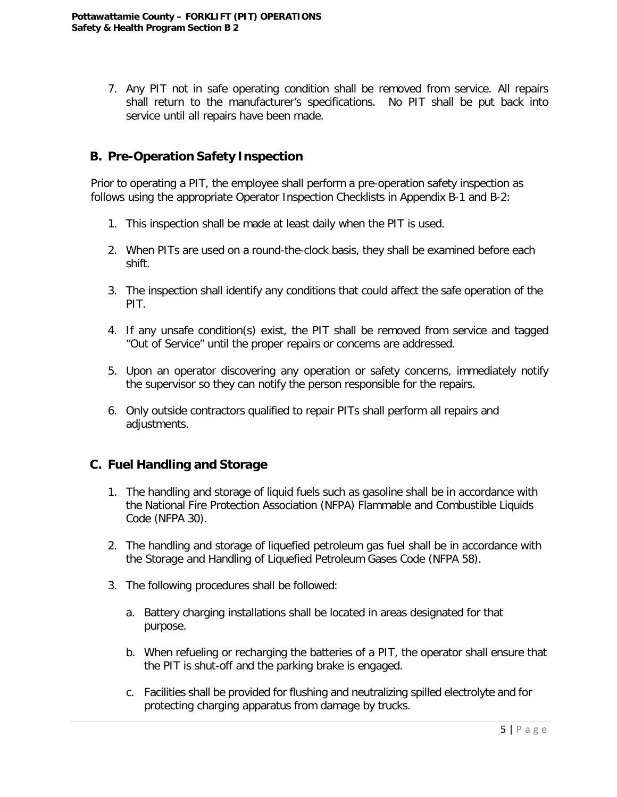7. Any PIT not in safe operating condition shall be removed from service. All repairs shall return to the manufacturer's specifications. No PIT shall be put back into service until all repairs have been made.

#### **B. Pre-Operation Safety Inspection**

Prior to operating a PIT, the employee shall perform a pre-operation safety inspection as follows using the appropriate Operator Inspection Checklists in Appendix B-1 and B-2:

- 1. This inspection shall be made at least daily when the PIT is used.
- 2. When PITs are used on a round-the-clock basis, they shall be examined before each shift.
- 3. The inspection shall identify any conditions that could affect the safe operation of the PIT.
- 4. If any unsafe condition(s) exist, the PIT shall be removed from service and tagged "Out of Service" until the proper repairs or concerns are addressed.
- 5. Upon an operator discovering any operation or safety concerns, immediately notify the supervisor so they can notify the person responsible for the repairs.
- 6. Only outside contractors qualified to repair PITs shall perform all repairs and adjustments.

#### **C. Fuel Handling and Storage**

- 1. The handling and storage of liquid fuels such as gasoline shall be in accordance with the National Fire Protection Association (NFPA) Flammable and Combustible Liquids Code (NFPA 30).
- 2. The handling and storage of liquefied petroleum gas fuel shall be in accordance with the Storage and Handling of Liquefied Petroleum Gases Code (NFPA 58).
- 3. The following procedures shall be followed:
	- a. Battery charging installations shall be located in areas designated for that purpose.
	- b. When refueling or recharging the batteries of a PIT, the operator shall ensure that the PIT is shut-off and the parking brake is engaged.
	- c. Facilities shall be provided for flushing and neutralizing spilled electrolyte and for protecting charging apparatus from damage by trucks.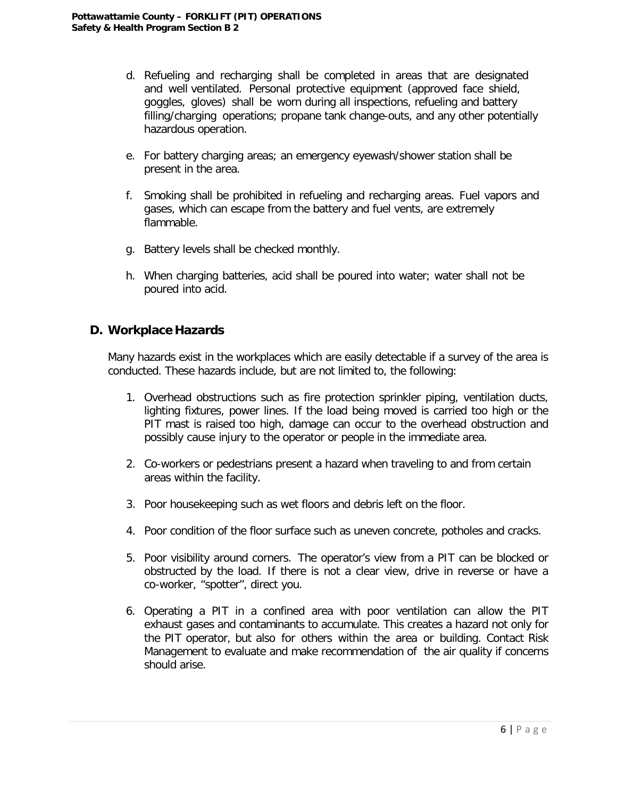- d. Refueling and recharging shall be completed in areas that are designated and well ventilated. Personal protective equipment (approved face shield, goggles, gloves) shall be worn during all inspections, refueling and battery filling/charging operations; propane tank change-outs, and any other potentially hazardous operation.
- e. For battery charging areas; an emergency eyewash/shower station shall be present in the area.
- f. Smoking shall be prohibited in refueling and recharging areas. Fuel vapors and gases, which can escape from the battery and fuel vents, are extremely flammable.
- g. Battery levels shall be checked monthly.
- h. When charging batteries, acid shall be poured into water; water shall not be poured into acid.

#### **D. Workplace Hazards**

Many hazards exist in the workplaces which are easily detectable if a survey of the area is conducted. These hazards include, but are not limited to, the following:

- 1. Overhead obstructions such as fire protection sprinkler piping, ventilation ducts, lighting fixtures, power lines. If the load being moved is carried too high or the PIT mast is raised too high, damage can occur to the overhead obstruction and possibly cause injury to the operator or people in the immediate area.
- 2. Co-workers or pedestrians present a hazard when traveling to and from certain areas within the facility.
- 3. Poor housekeeping such as wet floors and debris left on the floor.
- 4. Poor condition of the floor surface such as uneven concrete, potholes and cracks.
- 5. Poor visibility around corners. The operator's view from a PIT can be blocked or obstructed by the load. If there is not a clear view, drive in reverse or have a co-worker, "spotter", direct you.
- 6. Operating a PIT in a confined area with poor ventilation can allow the PIT exhaust gases and contaminants to accumulate. This creates a hazard not only for the PIT operator, but also for others within the area or building. Contact Risk Management to evaluate and make recommendation of the air quality if concerns should arise.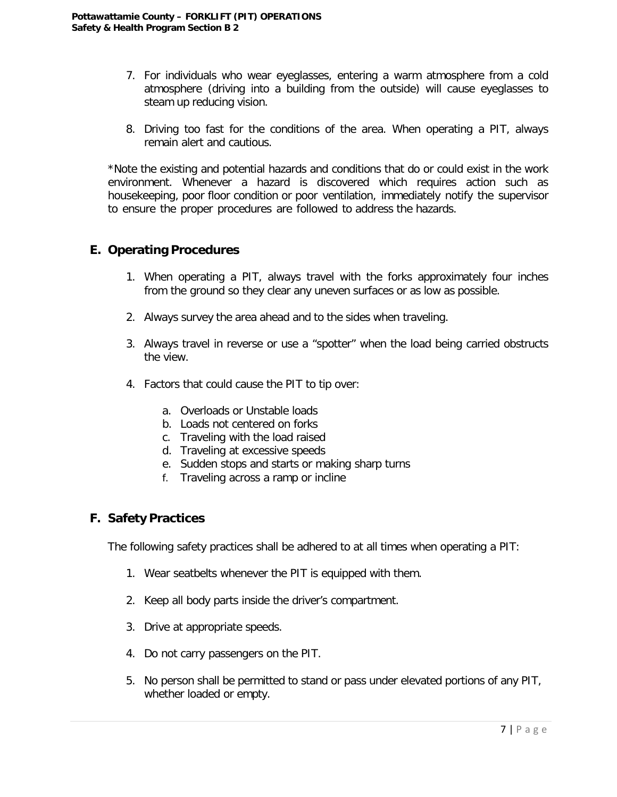- 7. For individuals who wear eyeglasses, entering a warm atmosphere from a cold atmosphere (driving into a building from the outside) will cause eyeglasses to steam up reducing vision.
- 8. Driving too fast for the conditions of the area. When operating a PIT, always remain alert and cautious.

\*Note the existing and potential hazards and conditions that do or could exist in the work environment. Whenever a hazard is discovered which requires action such as housekeeping, poor floor condition or poor ventilation, immediately notify the supervisor to ensure the proper procedures are followed to address the hazards.

#### **E. Operating Procedures**

- 1. When operating a PIT, always travel with the forks approximately four inches from the ground so they clear any uneven surfaces or as low as possible.
- 2. Always survey the area ahead and to the sides when traveling.
- 3. Always travel in reverse or use a "spotter" when the load being carried obstructs the view.
- 4. Factors that could cause the PIT to tip over:
	- a. Overloads or Unstable loads
	- b. Loads not centered on forks
	- c. Traveling with the load raised
	- d. Traveling at excessive speeds
	- e. Sudden stops and starts or making sharp turns
	- f. Traveling across a ramp or incline

#### **F. Safety Practices**

The following safety practices shall be adhered to at all times when operating a PIT:

- 1. Wear seatbelts whenever the PIT is equipped with them.
- 2. Keep all body parts inside the driver's compartment.
- 3. Drive at appropriate speeds.
- 4. Do not carry passengers on the PIT.
- 5. No person shall be permitted to stand or pass under elevated portions of any PIT, whether loaded or empty.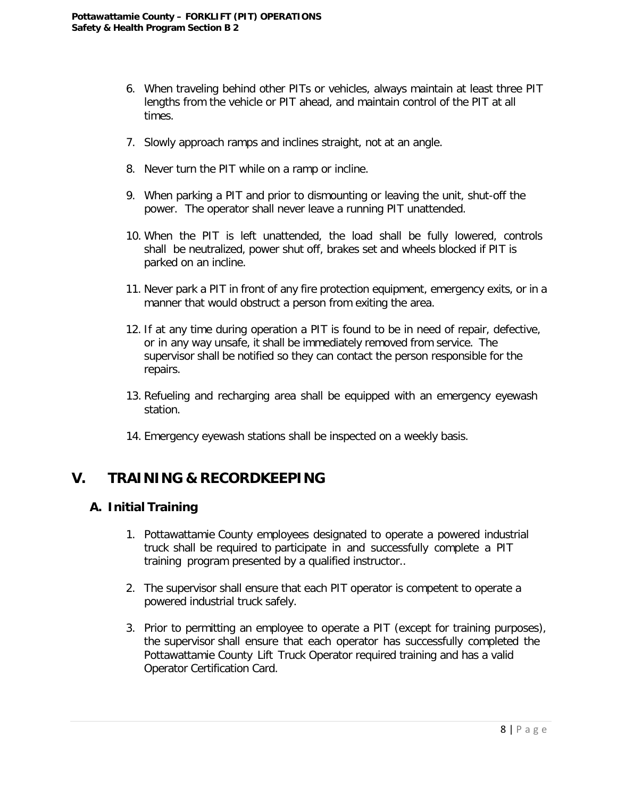- 6. When traveling behind other PITs or vehicles, always maintain at least three PIT lengths from the vehicle or PIT ahead, and maintain control of the PIT at all times.
- 7. Slowly approach ramps and inclines straight, not at an angle.
- 8. Never turn the PIT while on a ramp or incline.
- 9. When parking a PIT and prior to dismounting or leaving the unit, shut-off the power. The operator shall never leave a running PIT unattended.
- 10. When the PIT is left unattended, the load shall be fully lowered, controls shall be neutralized, power shut off, brakes set and wheels blocked if PIT is parked on an incline.
- 11. Never park a PIT in front of any fire protection equipment, emergency exits, or in a manner that would obstruct a person from exiting the area.
- 12. If at any time during operation a PIT is found to be in need of repair, defective, or in any way unsafe, it shall be immediately removed from service. The supervisor shall be notified so they can contact the person responsible for the repairs.
- 13. Refueling and recharging area shall be equipped with an emergency eyewash station.
- 14. Emergency eyewash stations shall be inspected on a weekly basis.

### **V. TRAINING & RECORDKEEPING**

#### **A. Initial Training**

- 1. Pottawattamie County employees designated to operate a powered industrial truck shall be required to participate in and successfully complete a PIT training program presented by a qualified instructor..
- 2. The supervisor shall ensure that each PIT operator is competent to operate a powered industrial truck safely.
- 3. Prior to permitting an employee to operate a PIT (except for training purposes), the supervisor shall ensure that each operator has successfully completed the Pottawattamie County Lift Truck Operator required training and has a valid Operator Certification Card.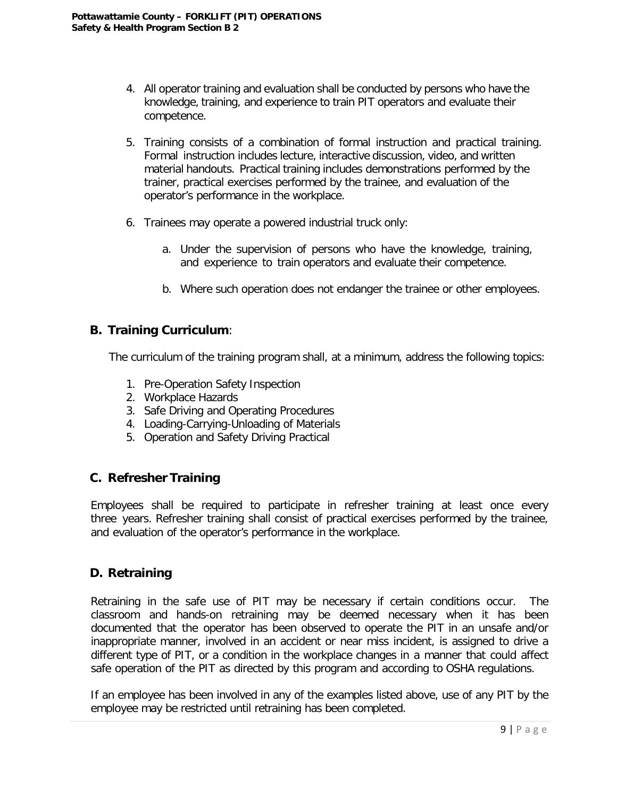- 4. All operator training and evaluation shall be conducted by persons who have the knowledge, training, and experience to train PIT operators and evaluate their competence.
- 5. Training consists of a combination of formal instruction and practical training. Formal instruction includes lecture, interactive discussion, video, and written material handouts. Practical training includes demonstrations performed by the trainer, practical exercises performed by the trainee, and evaluation of the operator's performance in the workplace.
- 6. Trainees may operate a powered industrial truck only:
	- a. Under the supervision of persons who have the knowledge, training, and experience to train operators and evaluate their competence.
	- b. Where such operation does not endanger the trainee or other employees.

#### **B. Training Curriculum**:

The curriculum of the training program shall, at a minimum, address the following topics:

- 1. Pre-Operation Safety Inspection
- 2. Workplace Hazards
- 3. Safe Driving and Operating Procedures
- 4. Loading-Carrying-Unloading of Materials
- 5. Operation and Safety Driving Practical

#### **C. Refresher Training**

Employees shall be required to participate in refresher training at least once every three years. Refresher training shall consist of practical exercises performed by the trainee, and evaluation of the operator's performance in the workplace.

#### **D. Retraining**

Retraining in the safe use of PIT may be necessary if certain conditions occur. The classroom and hands-on retraining may be deemed necessary when it has been documented that the operator has been observed to operate the PIT in an unsafe and/or inappropriate manner, involved in an accident or near miss incident, is assigned to drive a different type of PIT, or a condition in the workplace changes in a manner that could affect safe operation of the PIT as directed by this program and according to OSHA regulations.

If an employee has been involved in any of the examples listed above, use of any PIT by the employee may be restricted until retraining has been completed.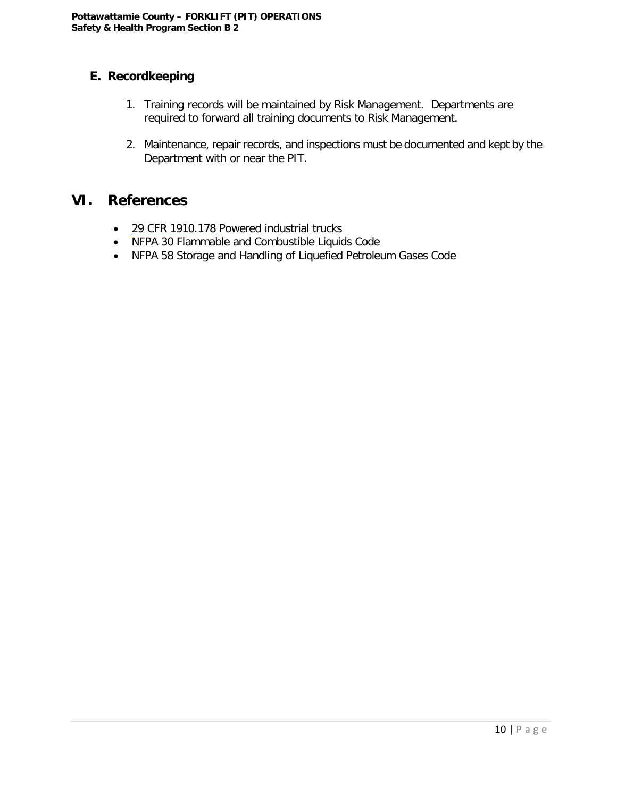#### **E. Recordkeeping**

- 1. Training records will be maintained by Risk Management. Departments are required to forward all training documents to Risk Management.
- 2. Maintenance, repair records, and inspections must be documented and kept by the Department with or near the PIT.

### **VI. References**

- 29 CFR 1910.178 Powered industrial trucks
- NFPA 30 Flammable and Combustible Liquids Code
- NFPA 58 Storage and Handling of Liquefied Petroleum Gases Code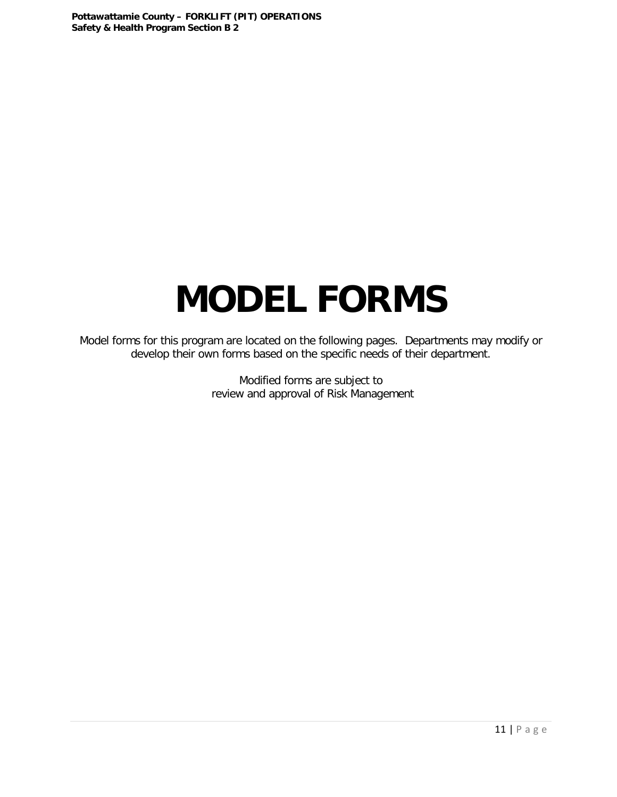# **MODEL FORMS**

Model forms for this program are located on the following pages. Departments may modify or develop their own forms based on the specific needs of their department.

> Modified forms are subject to review and approval of Risk Management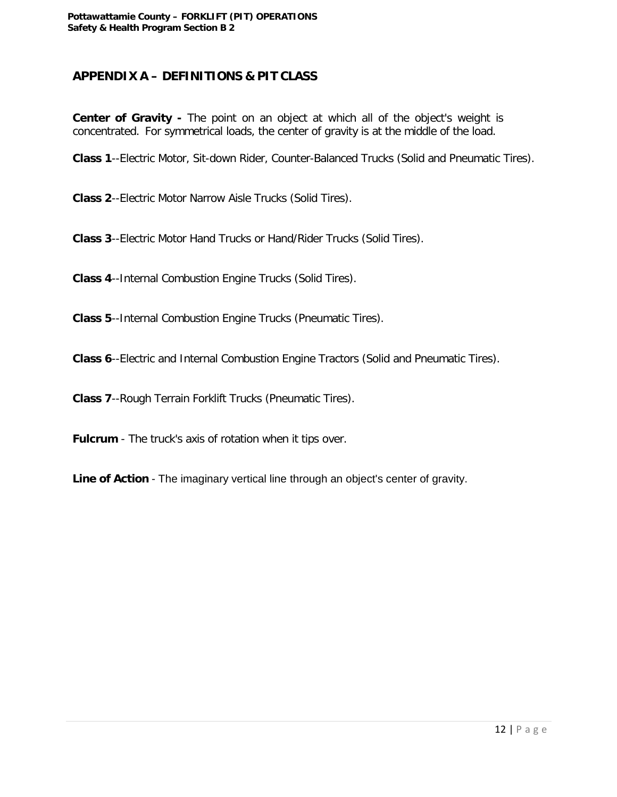#### **APPENDIX A – DEFINITIONS & PIT CLASS**

**Center of Gravity -** The point on an object at which all of the object's weight is concentrated. For symmetrical loads, the center of gravity is at the middle of the load.

**Class 1**--Electric Motor, Sit-down Rider, Counter-Balanced Trucks (Solid and Pneumatic Tires).

**Class 2**--Electric Motor Narrow Aisle Trucks (Solid Tires).

**Class 3**--Electric Motor Hand Trucks or Hand/Rider Trucks (Solid Tires).

**Class 4**--Internal Combustion Engine Trucks (Solid Tires).

**Class 5**--Internal Combustion Engine Trucks (Pneumatic Tires).

**Class 6**--Electric and Internal Combustion Engine Tractors (Solid and Pneumatic Tires).

**Class 7**--Rough Terrain Forklift Trucks (Pneumatic Tires).

**Fulcrum** - The truck's axis of rotation when it tips over.

**Line of Action** - The imaginary vertical line through an object's center of gravity.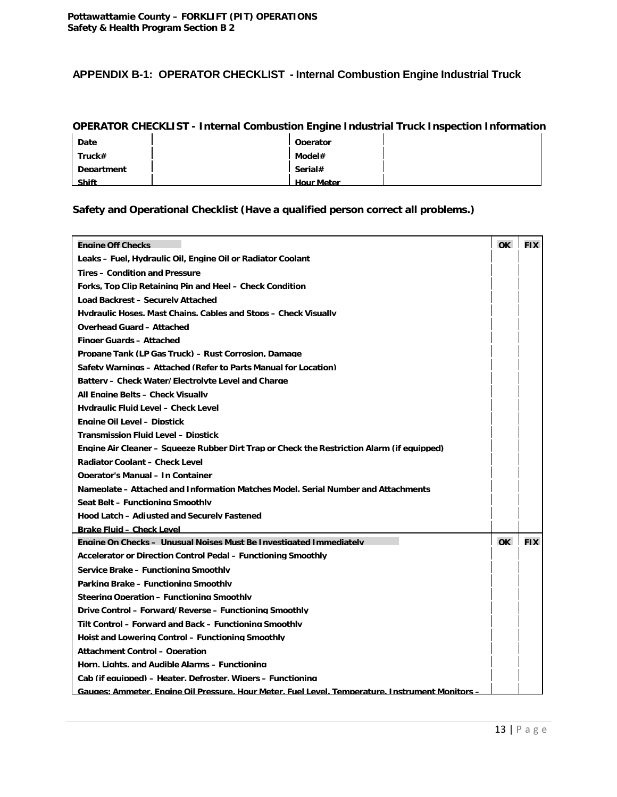#### **APPENDIX B-1: OPERATOR CHECKLIST - Internal Combustion Engine Industrial Truck**

#### **OPERATOR CHECKLIST - Internal Combustion Engine Industrial Truck Inspection Information**

| Date              | Operator          |  |
|-------------------|-------------------|--|
| Truck#            | Model#            |  |
| <b>Department</b> | Serial#           |  |
| <b>Shift</b>      | <b>Hour Meter</b> |  |

#### **Safety and Operational Checklist (Have a qualified person correct all problems.)**

| <b>Engine Off Checks</b>                                                                         | $\alpha$ | <b>FIX</b> |
|--------------------------------------------------------------------------------------------------|----------|------------|
| Leaks – Fuel, Hydraulic Oil, Engine Oil or Radiator Coolant                                      |          |            |
| <b>Tires - Condition and Pressure</b>                                                            |          |            |
| Forks. Top Clip Retaining Pin and Heel - Check Condition                                         |          |            |
| Load Backrest - Securely Attached                                                                |          |            |
| Hydraulic Hoses, Mast Chains, Cables and Stops – Check Visually                                  |          |            |
| <b>Overhead Guard - Attached</b>                                                                 |          |            |
| <b>Finger Guards - Attached</b>                                                                  |          |            |
| Propane Tank (LP Gas Truck) – Rust Corrosion, Damage                                             |          |            |
| Safety Warnings - Attached (Refer to Parts Manual for Location)                                  |          |            |
| Battery - Check Water/Electrolyte Level and Charge                                               |          |            |
| All Engine Belts – Check Visually                                                                |          |            |
| Hydraulic Fluid Level - Check Level                                                              |          |            |
| <b>Engine Oil Level - Dipstick</b>                                                               |          |            |
| <b>Transmission Fluid Level - Dipstick</b>                                                       |          |            |
| Engine Air Cleaner – Squeeze Rubber Dirt Trap or Check the Restriction Alarm (if equipped)       |          |            |
| Radiator Coolant - Check Level                                                                   |          |            |
| <b>Operator's Manual - In Container</b>                                                          |          |            |
| Nameplate – Attached and Information Matches Model, Serial Number and Attachments                |          |            |
| Seat Belt - Functioning Smoothly                                                                 |          |            |
| Hood Latch - Adiusted and Securely Fastened                                                      |          |            |
| <b>Brake Fluid - Check Level</b>                                                                 |          |            |
| Engine On Checks - Unusual Noises Must Be Investigated Immediately                               | OK       | <b>FIX</b> |
| Accelerator or Direction Control Pedal - Functioning Smoothly                                    |          |            |
| Service Brake - Functioning Smoothly                                                             |          |            |
| Parking Brake - Functioning Smoothly                                                             |          |            |
| Steering Operation - Functioning Smoothly                                                        |          |            |
| Drive Control - Forward/Reverse - Functioning Smoothly                                           |          |            |
| Tilt Control – Forward and Back – Functioning Smoothly                                           |          |            |
| Hoist and Lowering Control - Functioning Smoothly                                                |          |            |
| <b>Attachment Control - Operation</b>                                                            |          |            |
| Horn, Lights, and Audible Alarms – Functioning                                                   |          |            |
| Cab (if equipped) – Heater. Defroster. Wipers – Functioning                                      |          |            |
| Gauges: Ammeter, Engine Oil Pressure, Hour Meter, Fuel Level, Temperature, Instrument Monitors - |          |            |